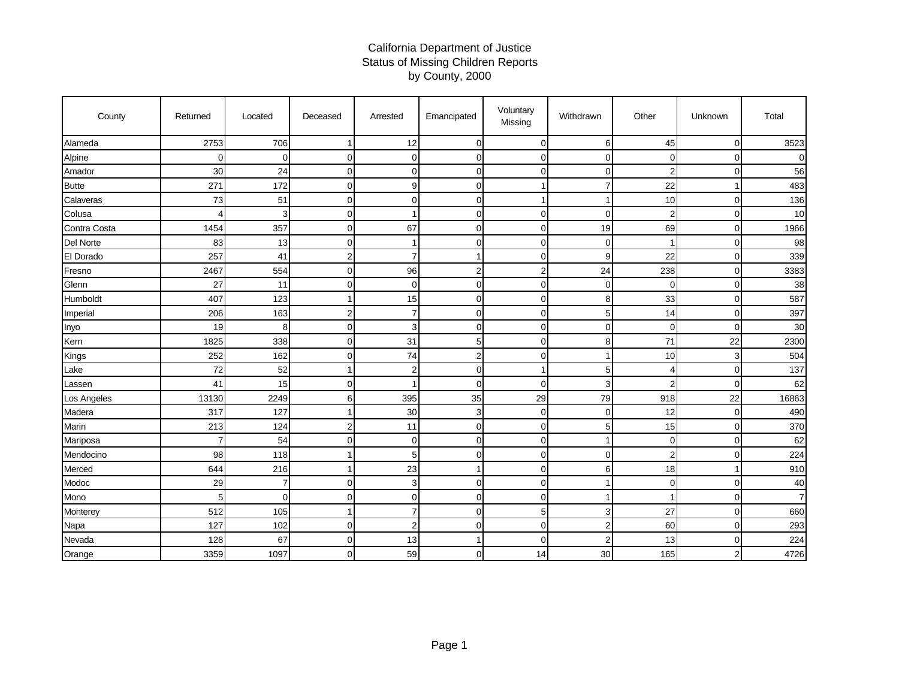## California Department of Justice Status of Missing Children Reports by County, 2000

| County       | Returned | Located        | Deceased | Arrested       | Emancipated    | Voluntary<br>Missing | Withdrawn      | Other          | Unknown        | Total          |
|--------------|----------|----------------|----------|----------------|----------------|----------------------|----------------|----------------|----------------|----------------|
| Alameda      | 2753     | 706            |          | 12             | $\Omega$       | $\overline{0}$       | 6              | 45             | $\mathbf 0$    | 3523           |
| Alpine       | $\Omega$ | $\mathbf 0$    | ∩        | 0              | $\Omega$       | $\mathbf 0$          | $\Omega$       | $\mathbf 0$    | $\mathbf 0$    | $\Omega$       |
| Amador       | 30       | 24             | 0        | 0              | $\overline{0}$ | $\mathbf 0$          | $\mathbf 0$    | $\overline{2}$ | $\mathbf 0$    | 56             |
| <b>Butte</b> | 271      | 172            | 0        | 9              | $\Omega$       |                      | $\overline{7}$ | 22             | 1              | 483            |
| Calaveras    | 73       | 51             | 0        | 0              | $\overline{0}$ |                      | -1             | 10             | $\mathbf 0$    | 136            |
| Colusa       | Δ        | 3              | O        |                | $\Omega$       | $\mathbf 0$          | $\mathbf 0$    | $\overline{2}$ | $\mathbf 0$    | 10             |
| Contra Costa | 1454     | 357            | 0        | 67             | $\Omega$       | $\mathbf 0$          | 19             | 69             | $\mathbf 0$    | 1966           |
| Del Norte    | 83       | 13             | C        |                | $\Omega$       | $\mathbf 0$          | $\mathbf 0$    | -1             | $\mathbf 0$    | 98             |
| El Dorado    | 257      | 41             |          |                |                | $\mathbf 0$          | 9              | 22             | $\mathbf 0$    | 339            |
| Fresno       | 2467     | 554            | 0        | 96             | $\overline{2}$ | $\overline{2}$       | 24             | 238            | $\mathbf 0$    | 3383           |
| Glenn        | 27       | 11             | ∩        | $\Omega$       | $\Omega$       | $\mathbf 0$          | $\mathbf 0$    | $\mathbf 0$    | $\mathbf 0$    | 38             |
| Humboldt     | 407      | 123            |          | 15             | $\overline{0}$ | $\mathbf 0$          | 8              | 33             | $\mathbf 0$    | 587            |
| Imperial     | 206      | 163            | 2        | 7              | 0              | $\mathbf 0$          | 5              | 14             | $\mathbf 0$    | 397            |
| Inyo         | 19       | 8              | 0        | 3              | $\Omega$       | $\mathbf 0$          | $\mathbf 0$    | $\Omega$       | $\mathbf 0$    | 30             |
| Kern         | 1825     | 338            | C        | 31             | 5              | $\mathbf 0$          | 8              | 71             | 22             | 2300           |
| Kings        | 252      | 162            | ∩        | 74             | $\overline{2}$ | $\mathbf 0$          |                | 10             | 3              | 504            |
| Lake         | 72       | 52             |          | $\overline{2}$ | $\overline{0}$ | $\mathbf{1}$         | 5              | 4              | $\mathbf 0$    | 137            |
| Lassen       | 41       | 15             | $\Omega$ |                | $\Omega$       | $\mathbf 0$          | 3              | $\overline{2}$ | $\mathbf 0$    | 62             |
| Los Angeles  | 13130    | 2249           | 6        | 395            | 35             | 29                   | 79             | 918            | 22             | 16863          |
| Madera       | 317      | 127            |          | 30             | 3              | $\mathbf 0$          | $\mathbf 0$    | 12             | $\mathbf 0$    | 490            |
| Marin        | 213      | 124            | 2        | 11             | $\Omega$       | $\mathbf 0$          | 5              | 15             | $\mathbf 0$    | 370            |
| Mariposa     |          | 54             | C        | $\Omega$       | $\Omega$       | $\mathbf 0$          |                | $\mathbf 0$    | $\mathbf 0$    | 62             |
| Mendocino    | 98       | 118            |          | 5              | $\Omega$       | $\mathbf 0$          | $\mathbf 0$    | $\overline{2}$ | $\mathbf 0$    | 224            |
| Merced       | 644      | 216            |          | 23             | 1              | $\mathbf 0$          | 6              | 18             | 1              | 910            |
| Modoc        | 29       | $\overline{7}$ | $\Omega$ | 3              | $\Omega$       | $\mathbf 0$          |                | $\mathbf 0$    | $\mathbf 0$    | 40             |
| Mono         | 5        | $\overline{0}$ | O        | 0              | $\overline{0}$ | $\mathbf 0$          |                |                | $\mathbf 0$    | $\overline{7}$ |
| Monterey     | 512      | 105            |          | 7              | $\Omega$       | 5                    | 3              | 27             | $\mathbf 0$    | 660            |
| Napa         | 127      | 102            | 0        | 2              | $\Omega$       | $\mathbf 0$          | $\overline{c}$ | 60             | $\mathbf 0$    | 293            |
| Nevada       | 128      | 67             | C        | 13             |                | $\mathbf 0$          | $\overline{2}$ | 13             | $\mathbf 0$    | 224            |
| Orange       | 3359     | 1097           | ∩        | 59             | $\Omega$       | 14                   | 30             | 165            | $\overline{c}$ | 4726           |